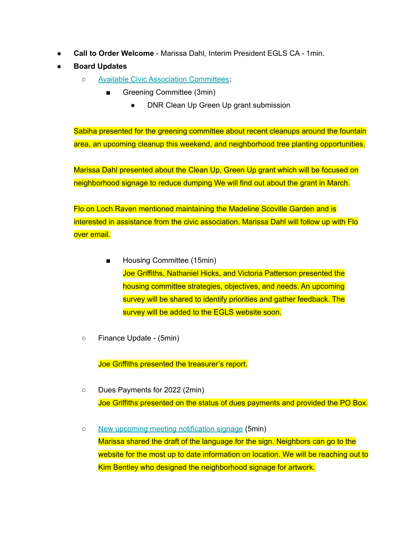- **Call to Order Welcome** Marissa Dahl, Interim President EGLS CA 1min.
- **● Board Updates**
	- Available Civic Association [Committees](https://www.ednorgardenslakeside.org/committees):
		- Greening Committee (3min)
			- DNR Clean Up Green Up grant submission

Sabiha presented for the greening committee about recent cleanups around the fountain area, an upcoming cleanup this weekend, and neighborhood tree planting opportunities.

Marissa Dahl presented about the Clean Up, Green Up grant which will be focused on neighborhood signage to reduce dumping We will find out about the grant in March.

Flo on Loch Raven mentioned maintaining the Madeline Scoville Garden and is interested in assistance from the civic association. Marissa Dahl will follow up with Flo over email.

- Housing Committee (15min) Joe Griffiths, Nathaniel Hicks, and Victoria Patterson presented the housing committee strategies, objectives, and needs. An upcoming survey will be shared to identify priorities and gather feedback. The survey will be added to the EGLS website soon.
- Finance Update (5min)

Joe Griffiths presented the treasurer's report.

- Dues Payments for 2022 (2min) Joe Griffiths presented on the status of dues payments and provided the PO Box.
- New upcoming meeting [notification](https://jamboard.google.com/d/1H8ITe7CmRURjNgueYx46COnMY0nMQ_cXSnJ1HOT5B4g/edit?usp=sharing) signage (5min) Marissa shared the draft of the language for the sign. Neighbors can go to the website for the most up to date information on location. We will be reaching out to Kim Bentley who designed the neighborhood signage for artwork.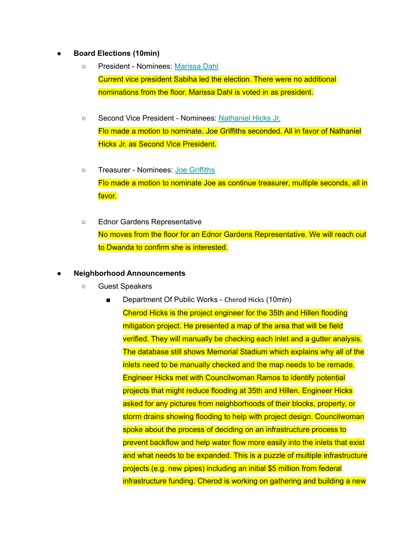## **● Board Elections (10min)**

- President Nominees: [Marissa](https://www.ednorgardenslakeside.org/about-us) Dahl Current vice president Sabiha led the election. There were no additional nominations from the floor. Marissa Dahl is voted in as president.
- Second Vice President Nominees: [Nathaniel](https://www.ednorgardenslakeside.org/about-us) Hicks Jr. Flo made a motion to nominate, Joe Griffiths seconded. All in favor of Nathaniel Hicks Jr. as Second Vice President.
- Treasurer Nominees: Joe [Griffiths](https://www.ednorgardenslakeside.org/about-us) Flo made a motion to nominate Joe as continue treasurer, multiple seconds, all in favor.
- Ednor Gardens Representative No moves from the floor for an Ednor Gardens Representative. We will reach out to Dwanda to confirm she is interested.

## **● Neighborhood Announcements**

- Guest Speakers
	- Department Of Public Works Cherod Hicks (10min) Cherod Hicks is the project engineer for the 35th and Hillen flooding mitigation project. He presented a map of the area that will be field verified. They will manually be checking each inlet and a gutter analysis. The database still shows Memorial Stadium which explains why all of the inlets need to be manually checked and the map needs to be remade. Engineer Hicks met with Councilwoman Ramos to identify potential projects that might reduce flooding at 35th and Hillen. Engineer Hicks asked for any pictures from neighborhoods of their blocks, property, or storm drains showing flooding to help with project design. Councilwoman spoke about the process of deciding on an infrastructure process to prevent backflow and help water flow more easily into the inlets that exist and what needs to be expanded. This is a puzzle of multiple infrastructure projects (e.g. new pipes) including an initial \$5 million from federal infrastructure funding. Cherod is working on gathering and building a new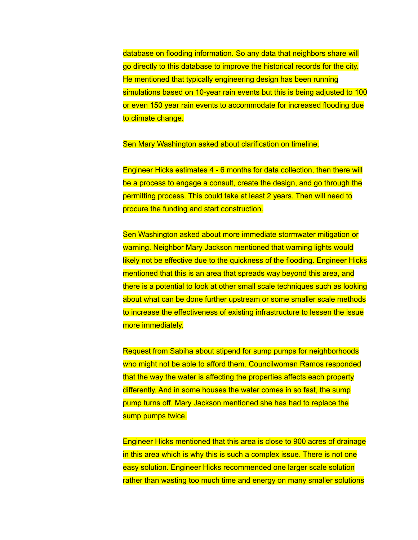database on flooding information. So any data that neighbors share will go directly to this database to improve the historical records for the city. He mentioned that typically engineering design has been running simulations based on 10-year rain events but this is being adjusted to 100 or even 150 year rain events to accommodate for increased flooding due to climate change.

Sen Mary Washington asked about clarification on timeline.

Engineer Hicks estimates 4 - 6 months for data collection, then there will be a process to engage a consult, create the design, and go through the permitting process. This could take at least 2 years. Then will need to procure the funding and start construction.

Sen Washington asked about more immediate stormwater mitigation or warning. Neighbor Mary Jackson mentioned that warning lights would likely not be effective due to the quickness of the flooding. Engineer Hicks mentioned that this is an area that spreads way beyond this area, and there is a potential to look at other small scale techniques such as looking about what can be done further upstream or some smaller scale methods to increase the effectiveness of existing infrastructure to lessen the issue more immediately.

Request from Sabiha about stipend for sump pumps for neighborhoods who might not be able to afford them. Councilwoman Ramos responded that the way the water is affecting the properties affects each property differently. And in some houses the water comes in so fast, the sump pump turns off. Mary Jackson mentioned she has had to replace the sump pumps twice.

Engineer Hicks mentioned that this area is close to 900 acres of drainage in this area which is why this is such a complex issue. There is not one easy solution. Engineer Hicks recommended one larger scale solution rather than wasting too much time and energy on many smaller solutions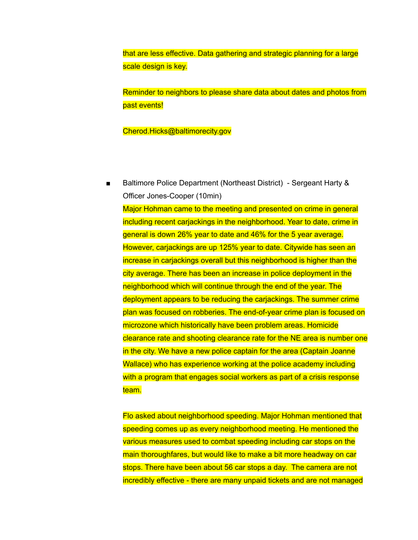that are less effective. Data gathering and strategic planning for a large scale design is key.

Reminder to neighbors to please share data about dates and photos from past events!

Cherod.Hicks@baltimorecity.gov

■ Baltimore Police Department (Northeast District) - Sergeant Harty & Officer Jones-Cooper (10min) Major Hohman came to the meeting and presented on crime in general including recent carjackings in the neighborhood. Year to date, crime in general is down 26% year to date and 46% for the 5 year average. However, carjackings are up 125% year to date. Citywide has seen an increase in carjackings overall but this neighborhood is higher than the city average. There has been an increase in police deployment in the neighborhood which will continue through the end of the year. The deployment appears to be reducing the carjackings. The summer crime plan was focused on robberies. The end-of-year crime plan is focused on microzone which historically have been problem areas. Homicide clearance rate and shooting clearance rate for the NE area is number one in the city. We have a new police captain for the area (Captain Joanne Wallace) who has experience working at the police academy including with a program that engages social workers as part of a crisis response team.

Flo asked about neighborhood speeding. Major Hohman mentioned that speeding comes up as every neighborhood meeting. He mentioned the various measures used to combat speeding including car stops on the main thoroughfares, but would like to make a bit more headway on car stops. There have been about 56 car stops a day. The camera are not incredibly effective - there are many unpaid tickets and are not managed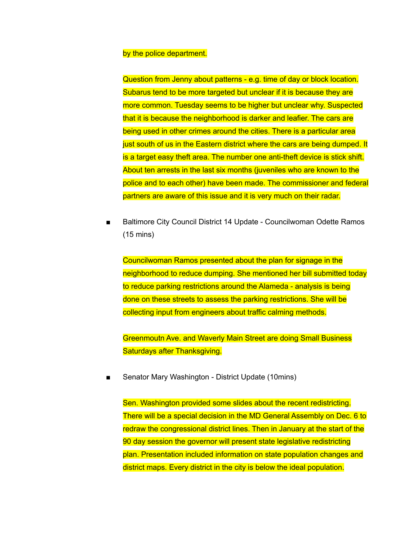## by the police department.

Question from Jenny about patterns - e.g. time of day or block location. Subarus tend to be more targeted but unclear if it is because they are more common. Tuesday seems to be higher but unclear why. Suspected that it is because the neighborhood is darker and leafier. The cars are being used in other crimes around the cities. There is a particular area just south of us in the Eastern district where the cars are being dumped. It is a target easy theft area. The number one anti-theft device is stick shift. About ten arrests in the last six months (juveniles who are known to the police and to each other) have been made. The commissioner and federal partners are aware of this issue and it is very much on their radar.

■ Baltimore City Council District 14 Update - Councilwoman Odette Ramos (15 mins)

Councilwoman Ramos presented about the plan for signage in the neighborhood to reduce dumping. She mentioned her bill submitted today to reduce parking restrictions around the Alameda - analysis is being done on these streets to assess the parking restrictions. She will be collecting input from engineers about traffic calming methods.

Greenmoutn Ave. and Waverly Main Street are doing Small Business Saturdays after Thanksgiving.

Senator Mary Washington - District Update (10mins)

Sen. Washington provided some slides about the recent redistricting. There will be a special decision in the MD General Assembly on Dec. 6 to redraw the congressional district lines. Then in January at the start of the 90 day session the governor will present state legislative redistricting plan. Presentation included information on state population changes and district maps. Every district in the city is below the ideal population.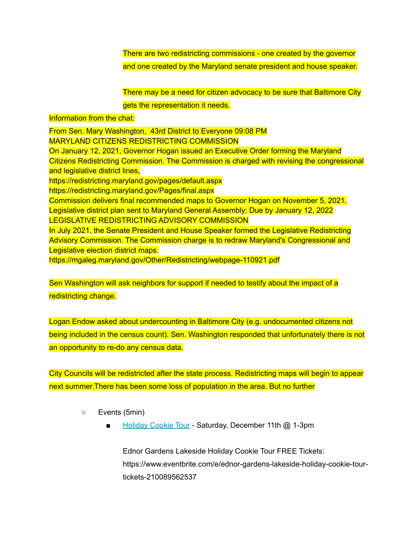There are two redistricting commissions - one created by the governor and one created by the Maryland senate president and house speaker.

There may be a need for citizen advocacy to be sure that Baltimore City gets the representation it needs.

## Information from the chat:

From Sen. Mary Washington, 43rd District to Everyone 09:08 PM MARYLAND CITIZENS REDISTRICTING COMMISSION On January 12, 2021, Governor Hogan issued an Executive Order forming the Maryland Citizens Redistricting Commission. The Commission is charged with revising the congressional and legislative district lines, https://redistricting.maryland.gov/pages/default.aspx https://redistricting.maryland.gov/Pages/final.aspx Commission delivers final recommended maps to Governor Hogan on November 5, 2021. Legislative district plan sent to Maryland General Assembly: Due by January 12, 2022 LEGISLATIVE REDISTRICTING ADVISORY COMMISSION In July 2021, the Senate President and House Speaker formed the Legislative Redistricting Advisory Commission. The Commission charge is to redraw Maryland's Congressional and Legislative election district maps. https://mgaleg.maryland.gov/Other/Redistricting/webpage-110921.pdf

Sen Washington will ask neighbors for support if needed to testify about the impact of a redistricting change.

Logan Endow asked about undercounting in Baltimore City (e.g. undocumented citizens not being included in the census count). Sen. Washington responded that unfortunately there is not an opportunity to re-do any census data.

City Councils will be redistricted after the state process. Redistricting maps will begin to appear next summer.There has been some loss of population in the area. But no further

- Events (5min)
	- [Holiday](https://www.eventbrite.com/e/ednor-gardens-lakeside-holiday-cookie-tour-tickets-210089562537) Cookie Tour Saturday, December 11th @ 1-3pm

Ednor Gardens Lakeside Holiday Cookie Tour FREE Tickets: https://www.eventbrite.com/e/ednor-gardens-lakeside-holiday-cookie-tourtickets-210089562537